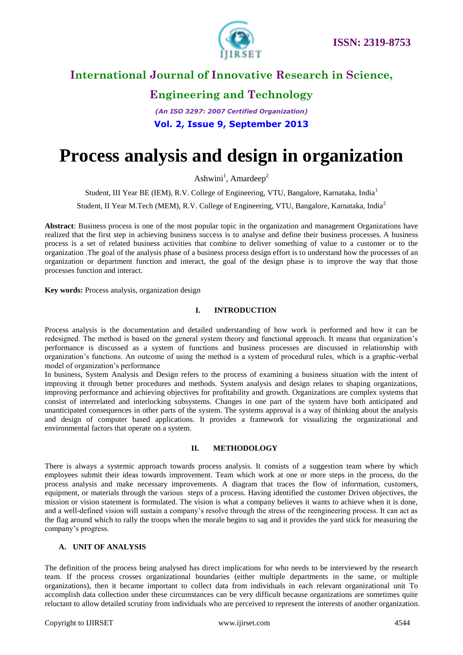

### **International Journal of Innovative Research in Science,**

## **Engineering and Technology**

*(An ISO 3297: 2007 Certified Organization)* **Vol. 2, Issue 9, September 2013**

# **Process analysis and design in organization**

Ashwini<sup>1</sup>, Amardeep<sup>2</sup>

Student, III Year BE (IEM), R.V. College of Engineering, VTU, Bangalore, Karnataka, India<sup>1</sup>

Student, II Year M.Tech (MEM), R.V. College of Engineering, VTU, Bangalore, Karnataka, India<sup>2</sup>

**Abstract**: Business process is one of the most popular topic in the organization and management Organizations have realized that the first step in achieving business success is to analyse and define their business processes. A business process is a set of related business activities that combine to deliver something of value to a customer or to the organization .The goal of the analysis phase of a business process design effort is to understand how the processes of an organization or department function and interact, the goal of the design phase is to improve the way that those processes function and interact.

**Key words:** Process analysis, organization design

#### **I. INTRODUCTION**

Process analysis is the documentation and detailed understanding of how work is performed and how it can be redesigned. The method is based on the general system theory and functional approach. It means that organization's performance is discussed as a system of functions and business processes are discussed in relationship with organization's functions. An outcome of using the method is a system of procedural rules, which is a graphic-verbal model of organization's performance

In business, System Analysis and Design refers to the process of examining a business situation with the intent of improving it through better procedures and methods. System analysis and design relates to shaping organizations, improving performance and achieving objectives for profitability and growth. Organizations are complex systems that consist of interrelated and interlocking subsystems. Changes in one part of the system have both anticipated and unanticipated consequences in other parts of the system. The systems approval is a way of thinking about the analysis and design of computer based applications. It provides a framework for visualizing the organizational and environmental factors that operate on a system.

#### **II. METHODOLOGY**

There is always a systemic approach towards process analysis. It consists of a suggestion team where by which employees submit their ideas towards improvement. Team which work at one or more steps in the process, do the process analysis and make necessary improvements. A diagram that traces the flow of information, customers, equipment, or materials through the various steps of a process. Having identified the customer Driven objectives, the mission or vision statement is formulated. The vision is what a company believes it wants to achieve when it is done, and a well-defined vision will sustain a company's resolve through the stress of the reengineering process. It can act as the flag around which to rally the troops when the morale begins to sag and it provides the yard stick for measuring the company's progress.

#### **A. UNIT OF ANALYSIS**

The definition of the process being analysed has direct implications for who needs to be interviewed by the research team. If the process crosses organizational boundaries (either multiple departments in the same, or multiple organizations), then it became important to collect data from individuals in each relevant organizational unit To accomplish data collection under these circumstances can be very difficult because organizations are sometimes quite reluctant to allow detailed scrutiny from individuals who are perceived to represent the interests of another organization.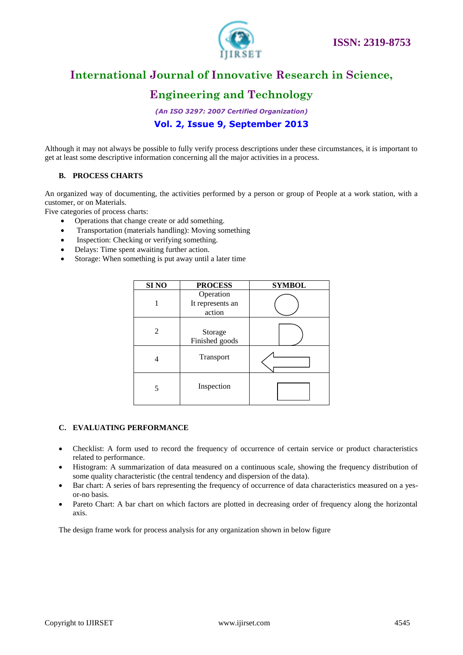

### **International Journal of Innovative Research in Science,**

### **Engineering and Technology**

*(An ISO 3297: 2007 Certified Organization)* **Vol. 2, Issue 9, September 2013**

Although it may not always be possible to fully verify process descriptions under these circumstances, it is important to get at least some descriptive information concerning all the major activities in a process.

### **B. PROCESS CHARTS**

An organized way of documenting, the activities performed by a person or group of People at a work station, with a customer, or on Materials.

Five categories of process charts:

- Operations that change create or add something.
- Transportation (materials handling): Moving something
- Inspection: Checking or verifying something.
- Delays: Time spent awaiting further action.
- Storage: When something is put away until a later time

| SI <sub>NO</sub> | <b>PROCESS</b>                          | <b>SYMBOL</b> |
|------------------|-----------------------------------------|---------------|
|                  | Operation<br>It represents an<br>action |               |
| 2                | Storage<br>Finished goods               |               |
| 4                | Transport                               |               |
| 5                | Inspection                              |               |

#### **C. EVALUATING PERFORMANCE**

- Checklist: A form used to record the frequency of occurrence of certain service or product characteristics related to performance.
- Histogram: A summarization of data measured on a continuous scale, showing the frequency distribution of some quality characteristic (the central tendency and dispersion of the data).
- Bar chart: A series of bars representing the frequency of occurrence of data characteristics measured on a yesor-no basis.
- Pareto Chart: A bar chart on which factors are plotted in decreasing order of frequency along the horizontal axis.

The design frame work for process analysis for any organization shown in below figure